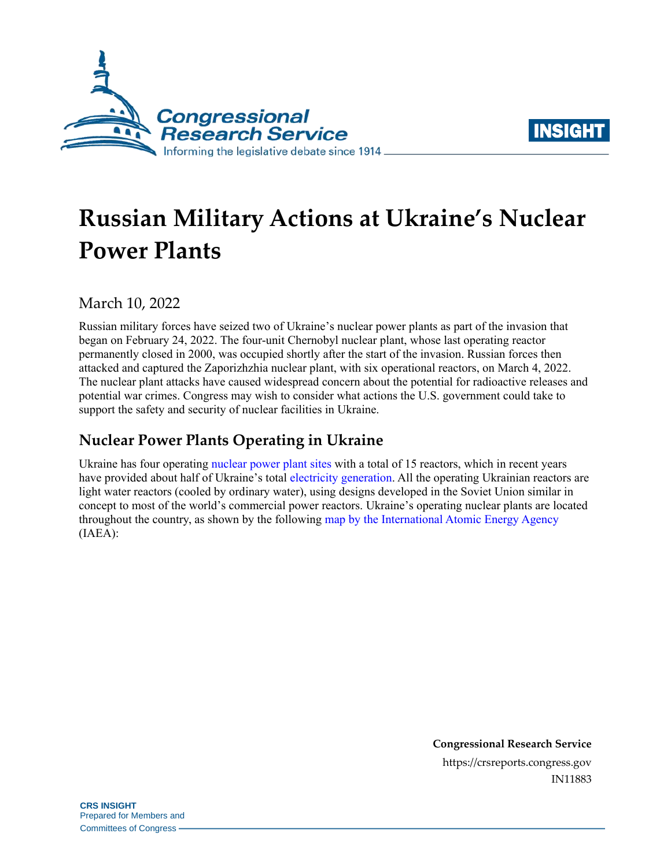



# **Russian Military Actions at Ukraine's Nuclear Power Plants**

March 10, 2022

Russian military forces have seized two of Ukraine's nuclear power plants as part of the invasion that began on February 24, 2022. The four-unit Chernobyl nuclear plant, whose last operating reactor permanently closed in 2000, was occupied shortly after the start of the invasion. Russian forces then attacked and captured the Zaporizhzhia nuclear plant, with six operational reactors, on March 4, 2022. The nuclear plant attacks have caused widespread concern about the potential for radioactive releases and potential war crimes. Congress may wish to consider what actions the U.S. government could take to support the safety and security of nuclear facilities in Ukraine.

# **Nuclear Power Plants Operating in Ukraine**

Ukraine has four operating [nuclear power plant sites](https://world-nuclear.org/information-library/country-profiles/countries-t-z/ukraine.aspx) with a total of 15 reactors, which in recent years have provided about half of Ukraine's tota[l electricity generation.](https://www.eia.gov/international/data/world/electricity/electricity-generation) All the operating Ukrainian reactors are light water reactors (cooled by ordinary water), using designs developed in the Soviet Union similar in concept to most of the world's commercial power reactors. Ukraine's operating nuclear plants are located throughout the country, as shown by the following [map by the International Atomic Energy Agency](https://cnpp.iaea.org/countryprofiles/Ukraine/Ukraine.htm) (IAEA):

> **Congressional Research Service** https://crsreports.congress.gov IN11883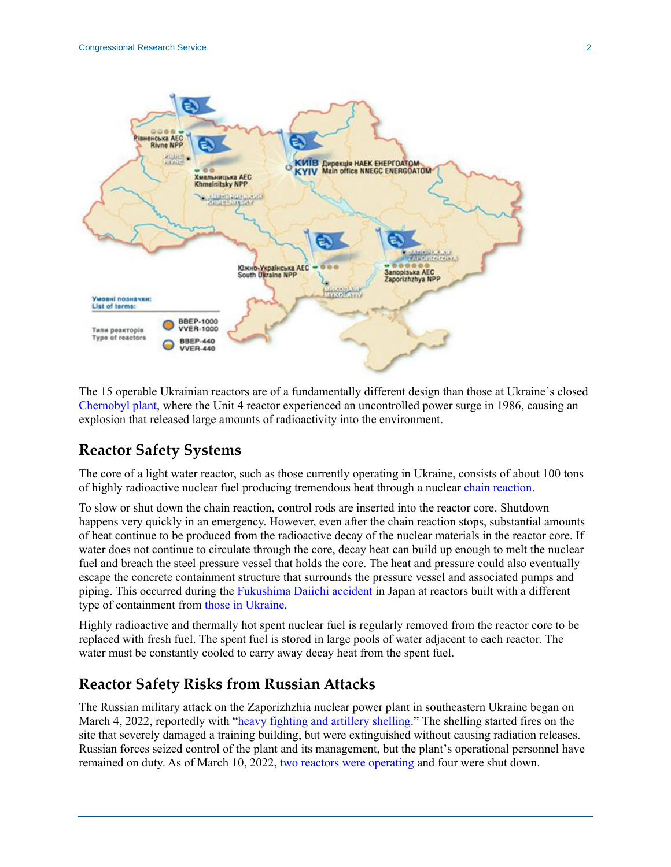

The 15 operable Ukrainian reactors are of a fundamentally different design than those at Ukraine's closed [Chernobyl plant,](https://world-nuclear.org/information-library/safety-and-security/safety-of-plants/chernobyl-accident.aspx) where the Unit 4 reactor experienced an uncontrolled power surge in 1986, causing an explosion that released large amounts of radioactivity into the environment.

#### **Reactor Safety Systems**

The core of a light water reactor, such as those currently operating in Ukraine, consists of about 100 tons of highly radioactive nuclear fuel producing tremendous heat through a nuclear [chain reaction.](https://www.nrc.gov/reading-rm/basic-ref/glossary/chain-reaction.html)

To slow or shut down the chain reaction, control rods are inserted into the reactor core. Shutdown happens very quickly in an emergency. However, even after the chain reaction stops, substantial amounts of heat continue to be produced from the radioactive decay of the nuclear materials in the reactor core. If water does not continue to circulate through the core, decay heat can build up enough to melt the nuclear fuel and breach the steel pressure vessel that holds the core. The heat and pressure could also eventually escape the concrete containment structure that surrounds the pressure vessel and associated pumps and piping. This occurred during the [Fukushima Daiichi accident](https://www.iaea.org/topics/response/fukushima-daiichi-nuclear-accident) in Japan at reactors built with a different type of containment from [those in Ukraine.](https://aris.iaea.org/PDF/VVER-300(V-478).pdf)

Highly radioactive and thermally hot spent nuclear fuel is regularly removed from the reactor core to be replaced with fresh fuel. The spent fuel is stored in large pools of water adjacent to each reactor. The water must be constantly cooled to carry away decay heat from the spent fuel.

#### **Reactor Safety Risks from Russian Attacks**

The Russian military attack on the Zaporizhzhia nuclear power plant in southeastern Ukraine began on March 4, 2022, reportedly with ["heavy fighting and artillery shelling.](https://snriu.gov.ua/en/news/current-situation-znpp)" The shelling started fires on the site that severely damaged a training building, but were extinguished without causing radiation releases. Russian forces seized control of the plant and its management, but the plant's operational personnel have remained on duty. As of March 10, 2022, [two reactors were operating](https://snriu.gov.ua/en/news/information-zaporizhzhia-npp-1200-10-march-2022) and four were shut down.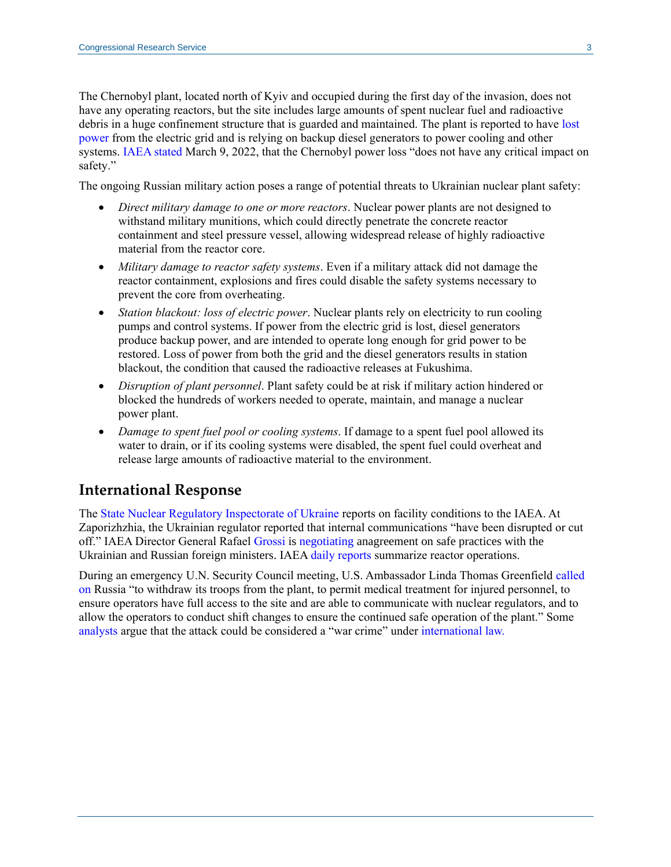The Chernobyl plant, located north of Kyiv and occupied during the first day of the invasion, does not have any operating reactors, but the site includes large amounts of spent nuclear fuel and radioactive debris in a huge confinement structure that is guarded and maintained. The plant is reported to have lost [power](https://snriu.gov.ua/en/news/chnpp-facilities-situation-update-09-march-2022-1300) from the electric grid and is relying on backup diesel generators to power cooling and other systems. [IAEA stated](https://www.usnews.com/news/world/articles/2022-03-09/iaea-says-no-critical-impact-on-safety-after-power-loss-at-chernobyl) March 9, 2022, that the Chernobyl power loss "does not have any critical impact on safety."

The ongoing Russian military action poses a range of potential threats to Ukrainian nuclear plant safety:

- *Direct military damage to one or more reactors*. Nuclear power plants are not designed to withstand military munitions, which could directly penetrate the concrete reactor containment and steel pressure vessel, allowing widespread release of highly radioactive material from the reactor core.
- *Military damage to reactor safety systems*. Even if a military attack did not damage the reactor containment, explosions and fires could disable the safety systems necessary to prevent the core from overheating.
- *Station blackout: loss of electric power*. Nuclear plants rely on electricity to run cooling pumps and control systems. If power from the electric grid is lost, diesel generators produce backup power, and are intended to operate long enough for grid power to be restored. Loss of power from both the grid and the diesel generators results in station blackout, the condition that caused the radioactive releases at Fukushima.
- *Disruption of plant personnel*. Plant safety could be at risk if military action hindered or blocked the hundreds of workers needed to operate, maintain, and manage a nuclear power plant.
- *Damage to spent fuel pool or cooling systems*. If damage to a spent fuel pool allowed its water to drain, or if its cooling systems were disabled, the spent fuel could overheat and release large amounts of radioactive material to the environment.

#### **International Response**

The [State Nuclear Regulatory Inspectorate](https://snriu.gov.ua/en) of Ukraine reports on facility conditions to the IAEA. At Zaporizhzhia, the Ukrainian regulator reported that internal communications "have been disrupted or cut off." IAEA Director General Rafael [Grossi](https://www.iaea.org/newscenter/news/framework-for-the-safety-and-security-of-ukraines-nuclear-power-plants-must-be-agreed-iaea-director-general-tells-board-of-governors) is [negotiating](https://www.youtube.com/watch?v=ASGuxJgya3c) anagreement on safe practices with the Ukrainian and Russian foreign ministers. IAE[A daily reports](https://www.iaea.org/ukraine-conflict) summarize reactor operations.

During an emergency U.N. Security Council meeting, U.S. Ambassador Linda Thomas Greenfield [called](https://usun.usmission.gov/remarks-by-ambassador-linda-thomas-greenfield-at-a-un-security-council-emergency-meeting-on-ukraines-zaporizhzhia-nuclear-power-plant/)  [on](https://usun.usmission.gov/remarks-by-ambassador-linda-thomas-greenfield-at-a-un-security-council-emergency-meeting-on-ukraines-zaporizhzhia-nuclear-power-plant/) Russia "to withdraw its troops from the plant, to permit medical treatment for injured personnel, to ensure operators have full access to the site and are able to communicate with nuclear regulators, and to allow the operators to conduct shift changes to ensure the continued safe operation of the plant." Some [analysts](https://oneearthfuture.org/press-mentions/laura-rockwood-interviewed-bbc-ukrainian-zaporizhzhia-nuclear-power-plant-takeover) argue that the attack could be considered a "war crime" under [international law.](https://thebulletin.org/2022/03/how-international-law-applies-to-attacks-on-nuclear-and-associated-facilities-in-ukraine/)